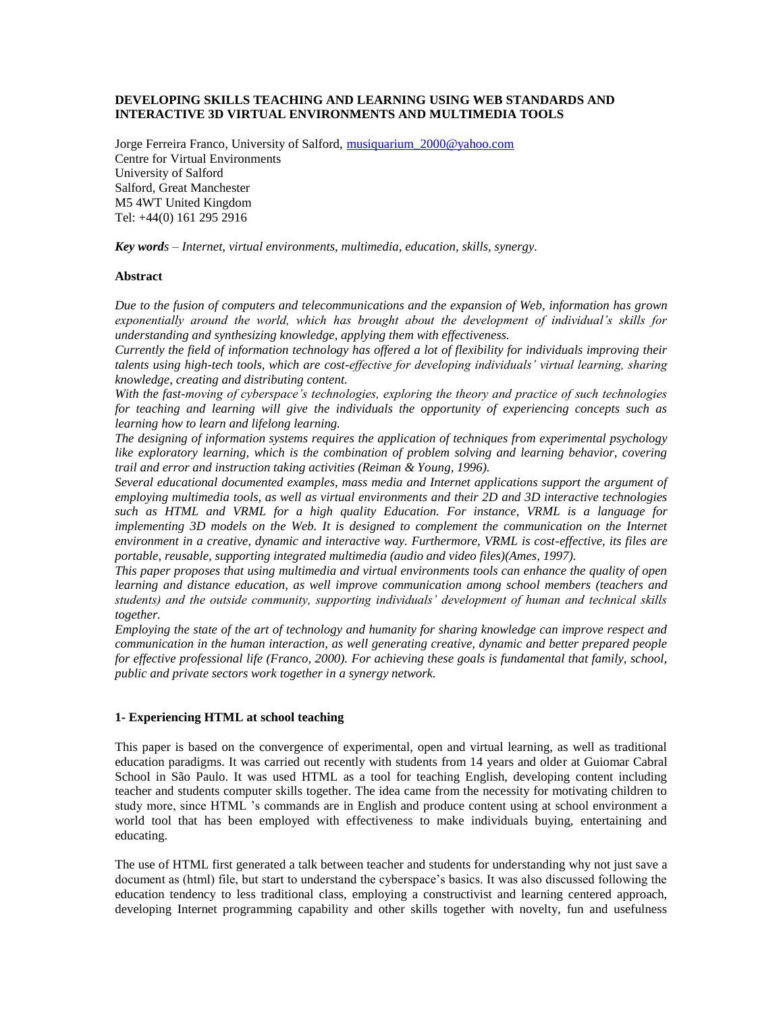# **DEVELOPING SKILLS TEACHING AND LEARNING USING WEB STANDARDS AND INTERACTIVE 3D VIRTUAL ENVIRONMENTS AND MULTIMEDIA TOOLS**

Jorge Ferreira Franco, University of Salford, [musiquarium\\_2000@yahoo.com](mailto:musiquarium_2000@yahoo.com) Centre for Virtual Environments University of Salford Salford, Great Manchester M5 4WT United Kingdom Tel: +44(0) 161 295 2916

*Key words – Internet, virtual environments, multimedia, education, skills, synergy.*

# **Abstract**

*Due to the fusion of computers and telecommunications and the expansion of Web, information has grown exponentially around the world, which has brought about the development of individual's skills for understanding and synthesizing knowledge, applying them with effectiveness.* 

*Currently the field of information technology has offered a lot of flexibility for individuals improving their talents using high-tech tools, which are cost-effective for developing individuals' virtual learning, sharing knowledge, creating and distributing content.*

*With the fast-moving of cyberspace's technologies, exploring the theory and practice of such technologies for teaching and learning will give the individuals the opportunity of experiencing concepts such as learning how to learn and lifelong learning.* 

*The designing of information systems requires the application of techniques from experimental psychology like exploratory learning, which is the combination of problem solving and learning behavior, covering trail and error and instruction taking activities (Reiman & Young, 1996).*

*Several educational documented examples, mass media and Internet applications support the argument of employing multimedia tools, as well as virtual environments and their 2D and 3D interactive technologies such as HTML and VRML for a high quality Education. For instance, VRML is a language for implementing 3D models on the Web. It is designed to complement the communication on the Internet environment in a creative, dynamic and interactive way. Furthermore, VRML is cost-effective, its files are portable, reusable, supporting integrated multimedia (audio and video files)(Ames, 1997).* 

*This paper proposes that using multimedia and virtual environments tools can enhance the quality of open learning and distance education, as well improve communication among school members (teachers and students) and the outside community, supporting individuals' development of human and technical skills together.*

*Employing the state of the art of technology and humanity for sharing knowledge can improve respect and communication in the human interaction, as well generating creative, dynamic and better prepared people for effective professional life (Franco, 2000). For achieving these goals is fundamental that family, school, public and private sectors work together in a synergy network.*

# **1- Experiencing HTML at school teaching**

This paper is based on the convergence of experimental, open and virtual learning, as well as traditional education paradigms. It was carried out recently with students from 14 years and older at Guiomar Cabral School in São Paulo. It was used HTML as a tool for teaching English, developing content including teacher and students computer skills together. The idea came from the necessity for motivating children to study more, since HTML 's commands are in English and produce content using at school environment a world tool that has been employed with effectiveness to make individuals buying, entertaining and educating.

The use of HTML first generated a talk between teacher and students for understanding why not just save a document as (html) file, but start to understand the cyberspace's basics. It was also discussed following the education tendency to less traditional class, employing a constructivist and learning centered approach, developing Internet programming capability and other skills together with novelty, fun and usefulness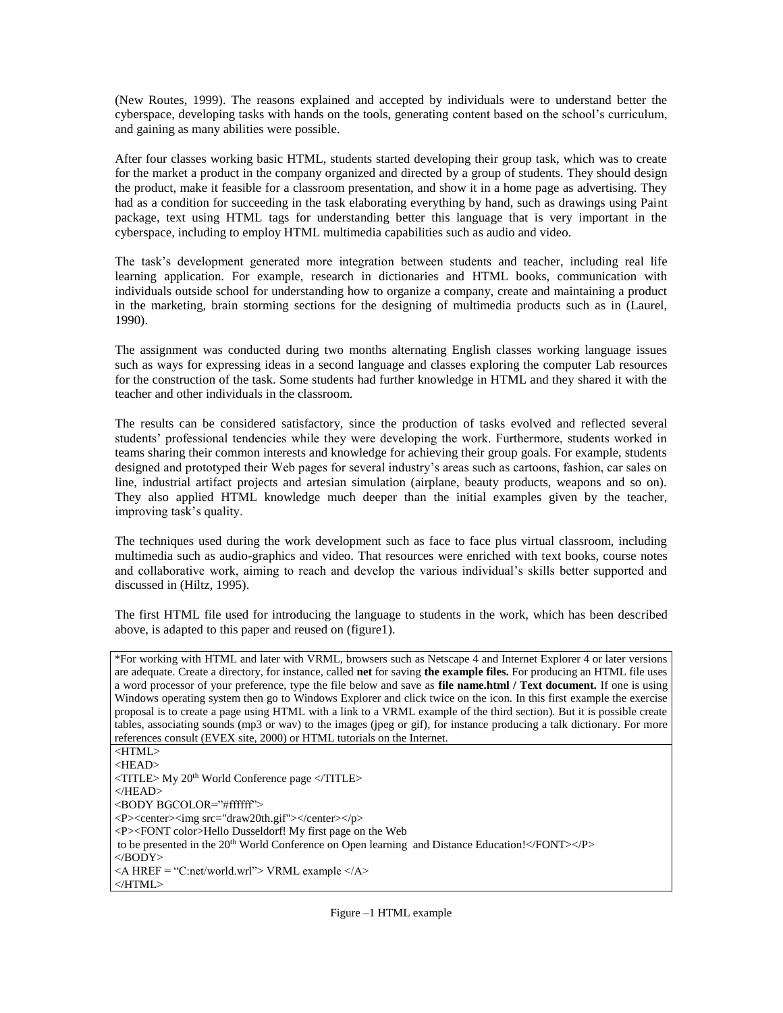(New Routes, 1999). The reasons explained and accepted by individuals were to understand better the cyberspace, developing tasks with hands on the tools, generating content based on the school's curriculum, and gaining as many abilities were possible.

After four classes working basic HTML, students started developing their group task, which was to create for the market a product in the company organized and directed by a group of students. They should design the product, make it feasible for a classroom presentation, and show it in a home page as advertising. They had as a condition for succeeding in the task elaborating everything by hand, such as drawings using Paint package, text using HTML tags for understanding better this language that is very important in the cyberspace, including to employ HTML multimedia capabilities such as audio and video.

The task's development generated more integration between students and teacher, including real life learning application. For example, research in dictionaries and HTML books, communication with individuals outside school for understanding how to organize a company, create and maintaining a product in the marketing, brain storming sections for the designing of multimedia products such as in (Laurel, 1990).

The assignment was conducted during two months alternating English classes working language issues such as ways for expressing ideas in a second language and classes exploring the computer Lab resources for the construction of the task. Some students had further knowledge in HTML and they shared it with the teacher and other individuals in the classroom.

The results can be considered satisfactory, since the production of tasks evolved and reflected several students' professional tendencies while they were developing the work. Furthermore, students worked in teams sharing their common interests and knowledge for achieving their group goals. For example, students designed and prototyped their Web pages for several industry's areas such as cartoons, fashion, car sales on line, industrial artifact projects and artesian simulation (airplane, beauty products, weapons and so on). They also applied HTML knowledge much deeper than the initial examples given by the teacher, improving task's quality.

The techniques used during the work development such as face to face plus virtual classroom, including multimedia such as audio-graphics and video. That resources were enriched with text books, course notes and collaborative work, aiming to reach and develop the various individual's skills better supported and discussed in (Hiltz, 1995).

The first HTML file used for introducing the language to students in the work, which has been described above, is adapted to this paper and reused on (figure1).

\*For working with HTML and later with VRML, browsers such as Netscape 4 and Internet Explorer 4 or later versions are adequate. Create a directory, for instance, called **net** for saving **the example files.** For producing an HTML file uses a word processor of your preference, type the file below and save as **file name.html / Text document.** If one is using Windows operating system then go to Windows Explorer and click twice on the icon. In this first example the exercise proposal is to create a page using HTML with a link to a VRML example of the third section). But it is possible create tables, associating sounds (mp3 or wav) to the images (jpeg or gif), for instance producing a talk dictionary. For more references consult (EVEX site, 2000) or HTML tutorials on the Internet.

<HTML> <HEAD> <TITLE> My 20th World Conference page </TITLE> </HEAD> <BODY BGCOLOR="#ffffff"> <P><center><img src="draw20th.gif"></center></p> <P><FONT color>Hello Dusseldorf! My first page on the Web to be presented in the 20<sup>th</sup> World Conference on Open learning and Distance Education!</FONT></P> </BODY>  $\leq$ A HREF = "C:net/world.wrl"> VRML example  $\leq$ /A> </HTML>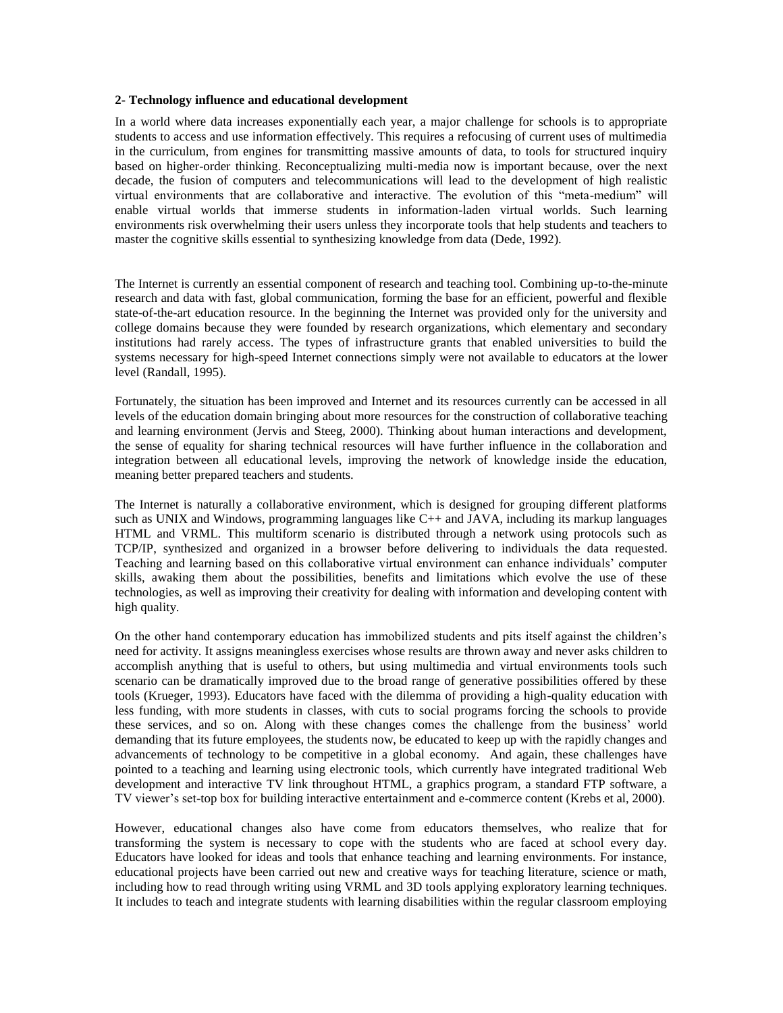#### **2- Technology influence and educational development**

In a world where data increases exponentially each year, a major challenge for schools is to appropriate students to access and use information effectively. This requires a refocusing of current uses of multimedia in the curriculum, from engines for transmitting massive amounts of data, to tools for structured inquiry based on higher-order thinking. Reconceptualizing multi-media now is important because, over the next decade, the fusion of computers and telecommunications will lead to the development of high realistic virtual environments that are collaborative and interactive. The evolution of this "meta-medium" will enable virtual worlds that immerse students in information-laden virtual worlds. Such learning environments risk overwhelming their users unless they incorporate tools that help students and teachers to master the cognitive skills essential to synthesizing knowledge from data (Dede, 1992).

The Internet is currently an essential component of research and teaching tool. Combining up-to-the-minute research and data with fast, global communication, forming the base for an efficient, powerful and flexible state-of-the-art education resource. In the beginning the Internet was provided only for the university and college domains because they were founded by research organizations, which elementary and secondary institutions had rarely access. The types of infrastructure grants that enabled universities to build the systems necessary for high-speed Internet connections simply were not available to educators at the lower level (Randall, 1995).

Fortunately, the situation has been improved and Internet and its resources currently can be accessed in all levels of the education domain bringing about more resources for the construction of collaborative teaching and learning environment (Jervis and Steeg, 2000). Thinking about human interactions and development, the sense of equality for sharing technical resources will have further influence in the collaboration and integration between all educational levels, improving the network of knowledge inside the education, meaning better prepared teachers and students.

The Internet is naturally a collaborative environment, which is designed for grouping different platforms such as UNIX and Windows, programming languages like C++ and JAVA, including its markup languages HTML and VRML. This multiform scenario is distributed through a network using protocols such as TCP/IP, synthesized and organized in a browser before delivering to individuals the data requested. Teaching and learning based on this collaborative virtual environment can enhance individuals' computer skills, awaking them about the possibilities, benefits and limitations which evolve the use of these technologies, as well as improving their creativity for dealing with information and developing content with high quality.

On the other hand contemporary education has immobilized students and pits itself against the children's need for activity. It assigns meaningless exercises whose results are thrown away and never asks children to accomplish anything that is useful to others, but using multimedia and virtual environments tools such scenario can be dramatically improved due to the broad range of generative possibilities offered by these tools (Krueger, 1993). Educators have faced with the dilemma of providing a high-quality education with less funding, with more students in classes, with cuts to social programs forcing the schools to provide these services, and so on. Along with these changes comes the challenge from the business' world demanding that its future employees, the students now, be educated to keep up with the rapidly changes and advancements of technology to be competitive in a global economy. And again, these challenges have pointed to a teaching and learning using electronic tools, which currently have integrated traditional Web development and interactive TV link throughout HTML, a graphics program, a standard FTP software, a TV viewer's set-top box for building interactive entertainment and e-commerce content (Krebs et al, 2000).

However, educational changes also have come from educators themselves, who realize that for transforming the system is necessary to cope with the students who are faced at school every day. Educators have looked for ideas and tools that enhance teaching and learning environments. For instance, educational projects have been carried out new and creative ways for teaching literature, science or math, including how to read through writing using VRML and 3D tools applying exploratory learning techniques. It includes to teach and integrate students with learning disabilities within the regular classroom employing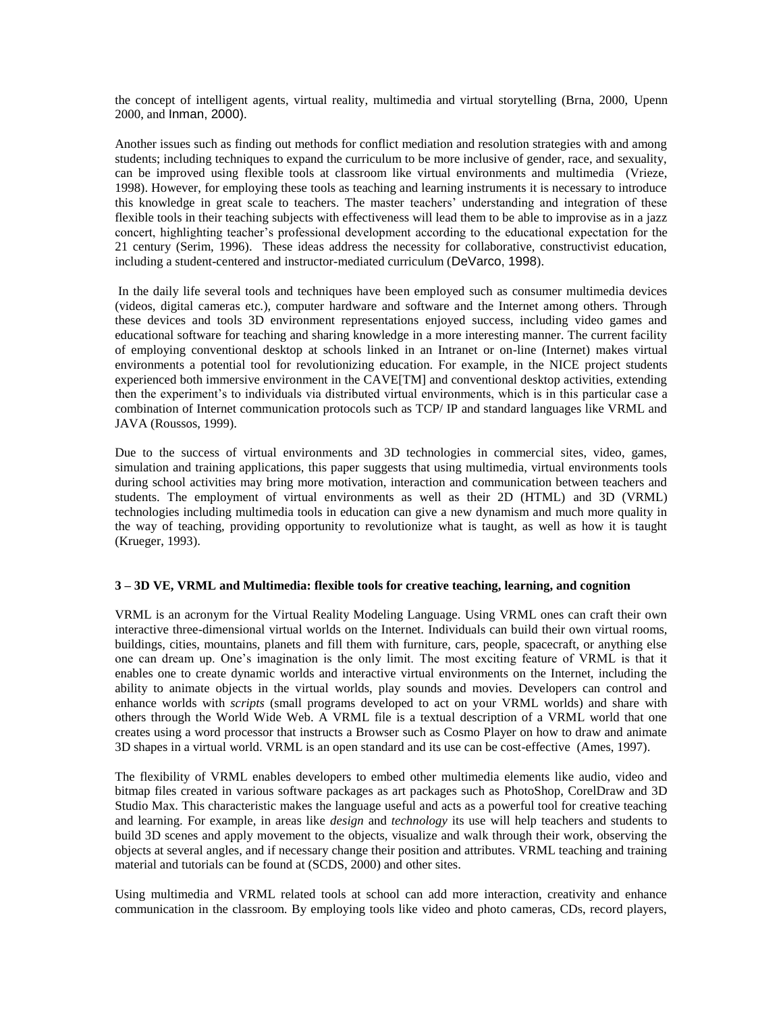the concept of intelligent agents, virtual reality, multimedia and virtual storytelling (Brna, 2000, Upenn 2000, and Inman, 2000).

Another issues such as finding out methods for conflict mediation and resolution strategies with and among students; including techniques to expand the curriculum to be more inclusive of gender, race, and sexuality, can be improved using flexible tools at classroom like virtual environments and multimedia (Vrieze, 1998). However, for employing these tools as teaching and learning instruments it is necessary to introduce this knowledge in great scale to teachers. The master teachers' understanding and integration of these flexible tools in their teaching subjects with effectiveness will lead them to be able to improvise as in a jazz concert, highlighting teacher's professional development according to the educational expectation for the 21 century (Serim, 1996). These ideas address the necessity for collaborative, constructivist education, including a student-centered and instructor-mediated curriculum (DeVarco, 1998).

In the daily life several tools and techniques have been employed such as consumer multimedia devices (videos, digital cameras etc.), computer hardware and software and the Internet among others. Through these devices and tools 3D environment representations enjoyed success, including video games and educational software for teaching and sharing knowledge in a more interesting manner. The current facility of employing conventional desktop at schools linked in an Intranet or on-line (Internet) makes virtual environments a potential tool for revolutionizing education. For example, in the NICE project students experienced both immersive environment in the CAVE[TM] and conventional desktop activities, extending then the experiment's to individuals via distributed virtual environments, which is in this particular case a combination of Internet communication protocols such as TCP/ IP and standard languages like VRML and JAVA (Roussos, 1999).

Due to the success of virtual environments and 3D technologies in commercial sites, video, games, simulation and training applications, this paper suggests that using multimedia, virtual environments tools during school activities may bring more motivation, interaction and communication between teachers and students. The employment of virtual environments as well as their 2D (HTML) and 3D (VRML) technologies including multimedia tools in education can give a new dynamism and much more quality in the way of teaching, providing opportunity to revolutionize what is taught, as well as how it is taught (Krueger, 1993).

### **3 – 3D VE, VRML and Multimedia: flexible tools for creative teaching, learning, and cognition**

VRML is an acronym for the Virtual Reality Modeling Language. Using VRML ones can craft their own interactive three-dimensional virtual worlds on the Internet. Individuals can build their own virtual rooms, buildings, cities, mountains, planets and fill them with furniture, cars, people, spacecraft, or anything else one can dream up. One's imagination is the only limit. The most exciting feature of VRML is that it enables one to create dynamic worlds and interactive virtual environments on the Internet, including the ability to animate objects in the virtual worlds, play sounds and movies. Developers can control and enhance worlds with *scripts* (small programs developed to act on your VRML worlds) and share with others through the World Wide Web. A VRML file is a textual description of a VRML world that one creates using a word processor that instructs a Browser such as Cosmo Player on how to draw and animate 3D shapes in a virtual world. VRML is an open standard and its use can be cost-effective (Ames, 1997).

The flexibility of VRML enables developers to embed other multimedia elements like audio, video and bitmap files created in various software packages as art packages such as PhotoShop, CorelDraw and 3D Studio Max. This characteristic makes the language useful and acts as a powerful tool for creative teaching and learning. For example, in areas like *design* and *technology* its use will help teachers and students to build 3D scenes and apply movement to the objects, visualize and walk through their work, observing the objects at several angles, and if necessary change their position and attributes. VRML teaching and training material and tutorials can be found at (SCDS, 2000) and other sites.

Using multimedia and VRML related tools at school can add more interaction, creativity and enhance communication in the classroom. By employing tools like video and photo cameras, CDs, record players,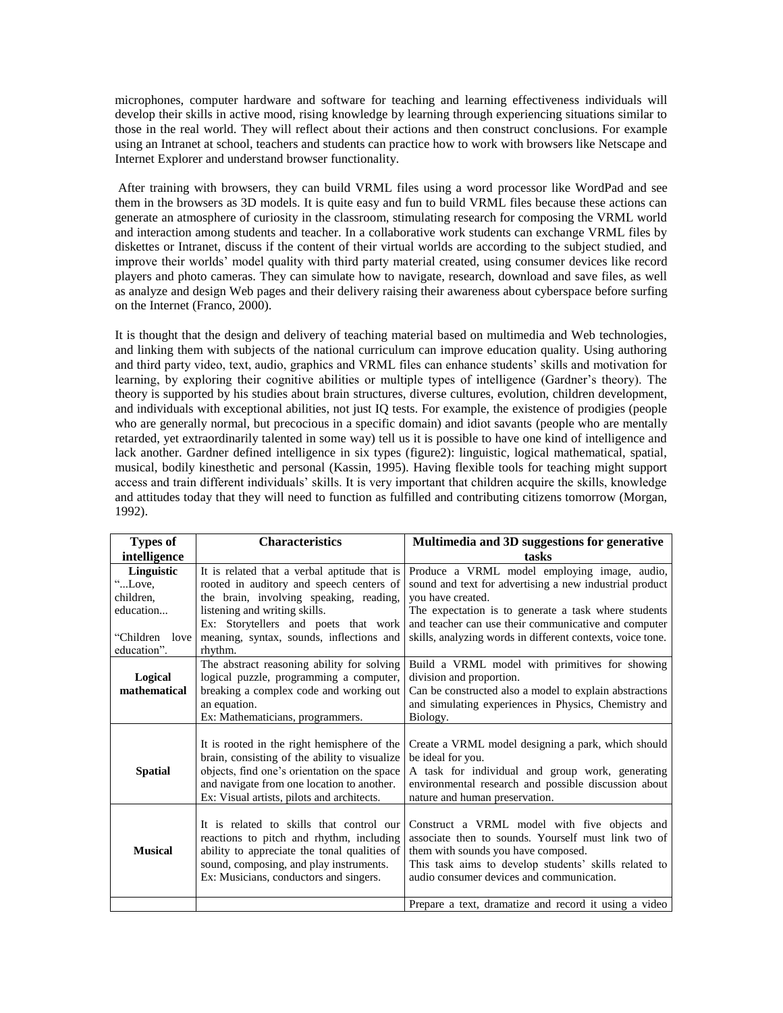microphones, computer hardware and software for teaching and learning effectiveness individuals will develop their skills in active mood, rising knowledge by learning through experiencing situations similar to those in the real world. They will reflect about their actions and then construct conclusions. For example using an Intranet at school, teachers and students can practice how to work with browsers like Netscape and Internet Explorer and understand browser functionality.

After training with browsers, they can build VRML files using a word processor like WordPad and see them in the browsers as 3D models. It is quite easy and fun to build VRML files because these actions can generate an atmosphere of curiosity in the classroom, stimulating research for composing the VRML world and interaction among students and teacher. In a collaborative work students can exchange VRML files by diskettes or Intranet, discuss if the content of their virtual worlds are according to the subject studied, and improve their worlds' model quality with third party material created, using consumer devices like record players and photo cameras. They can simulate how to navigate, research, download and save files, as well as analyze and design Web pages and their delivery raising their awareness about cyberspace before surfing on the Internet (Franco, 2000).

It is thought that the design and delivery of teaching material based on multimedia and Web technologies, and linking them with subjects of the national curriculum can improve education quality. Using authoring and third party video, text, audio, graphics and VRML files can enhance students' skills and motivation for learning, by exploring their cognitive abilities or multiple types of intelligence (Gardner's theory). The theory is supported by his studies about brain structures, diverse cultures, evolution, children development, and individuals with exceptional abilities, not just IQ tests. For example, the existence of prodigies (people who are generally normal, but precocious in a specific domain) and idiot savants (people who are mentally retarded, yet extraordinarily talented in some way) tell us it is possible to have one kind of intelligence and lack another. Gardner defined intelligence in six types (figure2): linguistic, logical mathematical, spatial, musical, bodily kinesthetic and personal (Kassin, 1995). Having flexible tools for teaching might support access and train different individuals' skills. It is very important that children acquire the skills, knowledge and attitudes today that they will need to function as fulfilled and contributing citizens tomorrow (Morgan, 1992).

| <b>Types of</b> | <b>Characteristics</b>                                                                   | Multimedia and 3D suggestions for generative                                           |
|-----------------|------------------------------------------------------------------------------------------|----------------------------------------------------------------------------------------|
| intelligence    |                                                                                          | tasks                                                                                  |
| Linguistic      | It is related that a verbal aptitude that is                                             | Produce a VRML model employing image, audio,                                           |
| "Love.          | rooted in auditory and speech centers of                                                 | sound and text for advertising a new industrial product                                |
| children.       | the brain, involving speaking, reading,                                                  | you have created.                                                                      |
| education       | listening and writing skills.                                                            | The expectation is to generate a task where students                                   |
|                 | Ex: Storytellers and poets that work                                                     | and teacher can use their communicative and computer                                   |
| "Children love" | meaning, syntax, sounds, inflections and                                                 | skills, analyzing words in different contexts, voice tone.                             |
| education".     | rhythm.                                                                                  |                                                                                        |
|                 | The abstract reasoning ability for solving                                               | Build a VRML model with primitives for showing                                         |
| Logical         | logical puzzle, programming a computer,                                                  | division and proportion.                                                               |
| mathematical    | breaking a complex code and working out                                                  | Can be constructed also a model to explain abstractions                                |
|                 | an equation.                                                                             | and simulating experiences in Physics, Chemistry and                                   |
|                 | Ex: Mathematicians, programmers.                                                         | Biology.                                                                               |
|                 |                                                                                          |                                                                                        |
|                 | It is rooted in the right hemisphere of the                                              | Create a VRML model designing a park, which should                                     |
|                 | brain, consisting of the ability to visualize                                            | be ideal for you.                                                                      |
| <b>Spatial</b>  | objects, find one's orientation on the space                                             | A task for individual and group work, generating                                       |
|                 | and navigate from one location to another.<br>Ex: Visual artists, pilots and architects. | environmental research and possible discussion about<br>nature and human preservation. |
|                 |                                                                                          |                                                                                        |
|                 | It is related to skills that control our                                                 | Construct a VRML model with five objects and                                           |
|                 | reactions to pitch and rhythm, including                                                 | associate then to sounds. Yourself must link two of                                    |
| <b>Musical</b>  | ability to appreciate the tonal qualities of                                             | them with sounds you have composed.                                                    |
|                 | sound, composing, and play instruments.                                                  | This task aims to develop students' skills related to                                  |
|                 | Ex: Musicians, conductors and singers.                                                   | audio consumer devices and communication.                                              |
|                 |                                                                                          |                                                                                        |
|                 |                                                                                          | Prepare a text, dramatize and record it using a video                                  |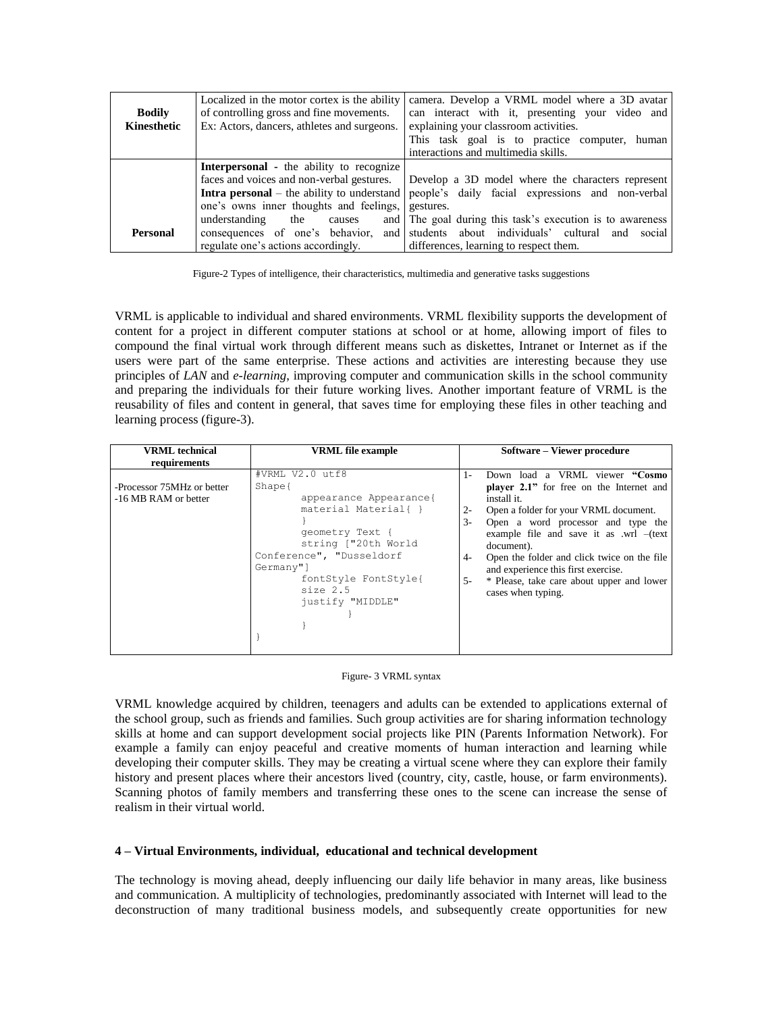| <b>Bodily</b><br>Kinesthetic | Localized in the motor cortex is the ability<br>of controlling gross and fine movements.<br>Ex: Actors, dancers, athletes and surgeons. | camera. Develop a VRML model where a 3D avatar<br>can interact with it, presenting your video and<br>explaining your classroom activities.<br>This task goal is to practice computer, human<br>interactions and multimedia skills. |
|------------------------------|-----------------------------------------------------------------------------------------------------------------------------------------|------------------------------------------------------------------------------------------------------------------------------------------------------------------------------------------------------------------------------------|
|                              | <b>Interpersonal</b> - the ability to recognize                                                                                         |                                                                                                                                                                                                                                    |
|                              | faces and voices and non-verbal gestures.                                                                                               | Develop a 3D model where the characters represent                                                                                                                                                                                  |
|                              | <b>Intra personal</b> – the ability to understand                                                                                       | people's daily facial expressions and non-verbal                                                                                                                                                                                   |
|                              | one's owns inner thoughts and feelings,                                                                                                 | gestures.                                                                                                                                                                                                                          |
|                              | understanding<br>the<br>causes                                                                                                          | and The goal during this task's execution is to awareness                                                                                                                                                                          |
| <b>Personal</b>              | consequences of one's behavior,                                                                                                         | and students about individuals' cultural and social                                                                                                                                                                                |
|                              | regulate one's actions accordingly.                                                                                                     | differences, learning to respect them.                                                                                                                                                                                             |

Figure-2 Types of intelligence, their characteristics, multimedia and generative tasks suggestions

VRML is applicable to individual and shared environments. VRML flexibility supports the development of content for a project in different computer stations at school or at home, allowing import of files to compound the final virtual work through different means such as diskettes, Intranet or Internet as if the users were part of the same enterprise. These actions and activities are interesting because they use principles of *LAN* and *e-learning*, improving computer and communication skills in the school community and preparing the individuals for their future working lives. Another important feature of VRML is the reusability of files and content in general, that saves time for employing these files in other teaching and learning process (figure-3).

| <b>VRML</b> technical                              | <b>VRML</b> file example                                                                                                                                                                                                           | Software – Viewer procedure                                                                                                                                                                                                                                                                                                                                                                                                                    |
|----------------------------------------------------|------------------------------------------------------------------------------------------------------------------------------------------------------------------------------------------------------------------------------------|------------------------------------------------------------------------------------------------------------------------------------------------------------------------------------------------------------------------------------------------------------------------------------------------------------------------------------------------------------------------------------------------------------------------------------------------|
| requirements                                       |                                                                                                                                                                                                                                    |                                                                                                                                                                                                                                                                                                                                                                                                                                                |
| -Processor 75MHz or better<br>-16 MB RAM or better | #VRML V2.0 utf8<br>Shape <sub>1</sub><br>appearance Appearance{<br>material Material{ }<br>qeometry Text {<br>string ["20th World<br>Conference", "Dusseldorf<br>Germany"]<br>fontStyle FontStyle{<br>size 2.5<br>justify "MIDDLE" | Down load a VRML viewer "Cosmo<br>$1-$<br><b>player 2.1"</b> for free on the Internet and<br>install it.<br>Open a folder for your VRML document.<br>$2 -$<br>Open a word processor and type the<br>$3-$<br>example file and save it as $wrl$ $-(text$<br>document).<br>Open the folder and click twice on the file<br>$4-$<br>and experience this first exercise.<br>* Please, take care about upper and lower<br>$5 -$<br>cases when typing. |

### Figure- 3 VRML syntax

VRML knowledge acquired by children, teenagers and adults can be extended to applications external of the school group, such as friends and families. Such group activities are for sharing information technology skills at home and can support development social projects like PIN (Parents Information Network). For example a family can enjoy peaceful and creative moments of human interaction and learning while developing their computer skills. They may be creating a virtual scene where they can explore their family history and present places where their ancestors lived (country, city, castle, house, or farm environments). Scanning photos of family members and transferring these ones to the scene can increase the sense of realism in their virtual world.

## **4 – Virtual Environments, individual, educational and technical development**

The technology is moving ahead, deeply influencing our daily life behavior in many areas, like business and communication. A multiplicity of technologies, predominantly associated with Internet will lead to the deconstruction of many traditional business models, and subsequently create opportunities for new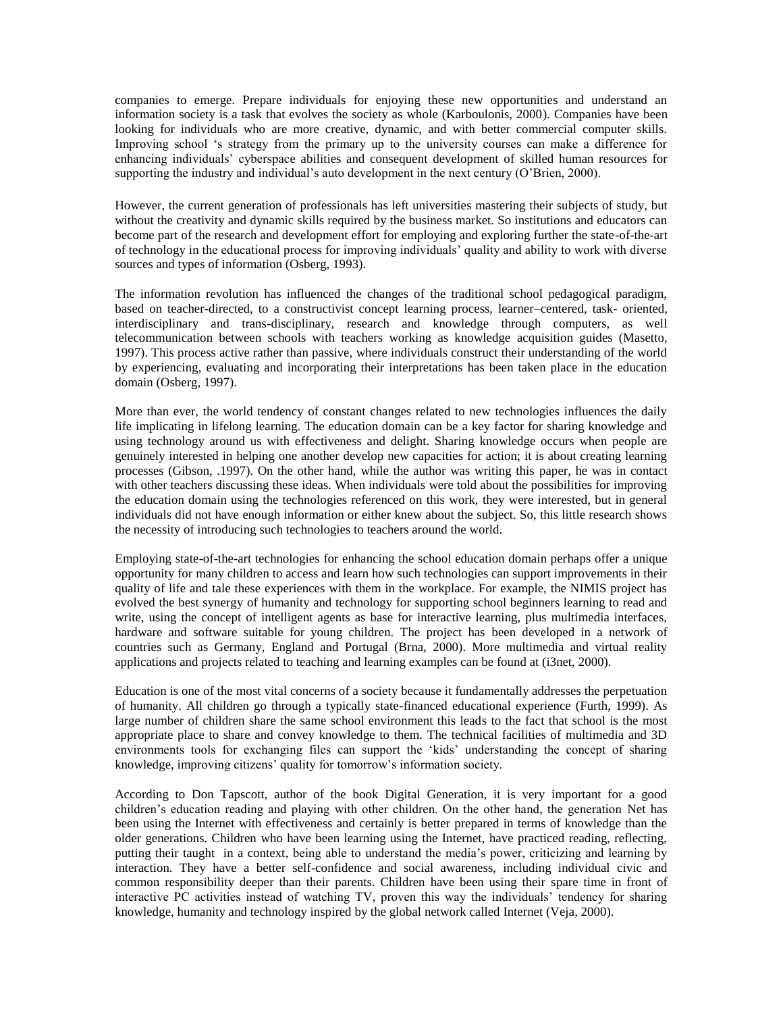companies to emerge. Prepare individuals for enjoying these new opportunities and understand an information society is a task that evolves the society as whole (Karboulonis, 2000). Companies have been looking for individuals who are more creative, dynamic, and with better commercial computer skills. Improving school 's strategy from the primary up to the university courses can make a difference for enhancing individuals' cyberspace abilities and consequent development of skilled human resources for supporting the industry and individual's auto development in the next century (O'Brien, 2000).

However, the current generation of professionals has left universities mastering their subjects of study, but without the creativity and dynamic skills required by the business market. So institutions and educators can become part of the research and development effort for employing and exploring further the state-of-the-art of technology in the educational process for improving individuals' quality and ability to work with diverse sources and types of information (Osberg, 1993).

The information revolution has influenced the changes of the traditional school pedagogical paradigm, based on teacher-directed, to a constructivist concept learning process, learner–centered, task- oriented, interdisciplinary and trans-disciplinary, research and knowledge through computers, as well telecommunication between schools with teachers working as knowledge acquisition guides (Masetto, 1997). This process active rather than passive, where individuals construct their understanding of the world by experiencing, evaluating and incorporating their interpretations has been taken place in the education domain (Osberg, 1997).

More than ever, the world tendency of constant changes related to new technologies influences the daily life implicating in lifelong learning. The education domain can be a key factor for sharing knowledge and using technology around us with effectiveness and delight. Sharing knowledge occurs when people are genuinely interested in helping one another develop new capacities for action; it is about creating learning processes (Gibson, .1997). On the other hand, while the author was writing this paper, he was in contact with other teachers discussing these ideas. When individuals were told about the possibilities for improving the education domain using the technologies referenced on this work, they were interested, but in general individuals did not have enough information or either knew about the subject. So, this little research shows the necessity of introducing such technologies to teachers around the world.

Employing state-of-the-art technologies for enhancing the school education domain perhaps offer a unique opportunity for many children to access and learn how such technologies can support improvements in their quality of life and tale these experiences with them in the workplace. For example, the NIMIS project has evolved the best synergy of humanity and technology for supporting school beginners learning to read and write, using the concept of intelligent agents as base for interactive learning, plus multimedia interfaces, hardware and software suitable for young children. The project has been developed in a network of countries such as Germany, England and Portugal (Brna, 2000). More multimedia and virtual reality applications and projects related to teaching and learning examples can be found at (i3net, 2000).

Education is one of the most vital concerns of a society because it fundamentally addresses the perpetuation of humanity. All children go through a typically state-financed educational experience (Furth, 1999). As large number of children share the same school environment this leads to the fact that school is the most appropriate place to share and convey knowledge to them. The technical facilities of multimedia and 3D environments tools for exchanging files can support the 'kids' understanding the concept of sharing knowledge, improving citizens' quality for tomorrow's information society.

According to Don Tapscott, author of the book Digital Generation, it is very important for a good children's education reading and playing with other children. On the other hand, the generation Net has been using the Internet with effectiveness and certainly is better prepared in terms of knowledge than the older generations. Children who have been learning using the Internet, have practiced reading, reflecting, putting their taught in a context, being able to understand the media's power, criticizing and learning by interaction. They have a better self-confidence and social awareness, including individual civic and common responsibility deeper than their parents. Children have been using their spare time in front of interactive PC activities instead of watching TV, proven this way the individuals' tendency for sharing knowledge, humanity and technology inspired by the global network called Internet (Veja, 2000).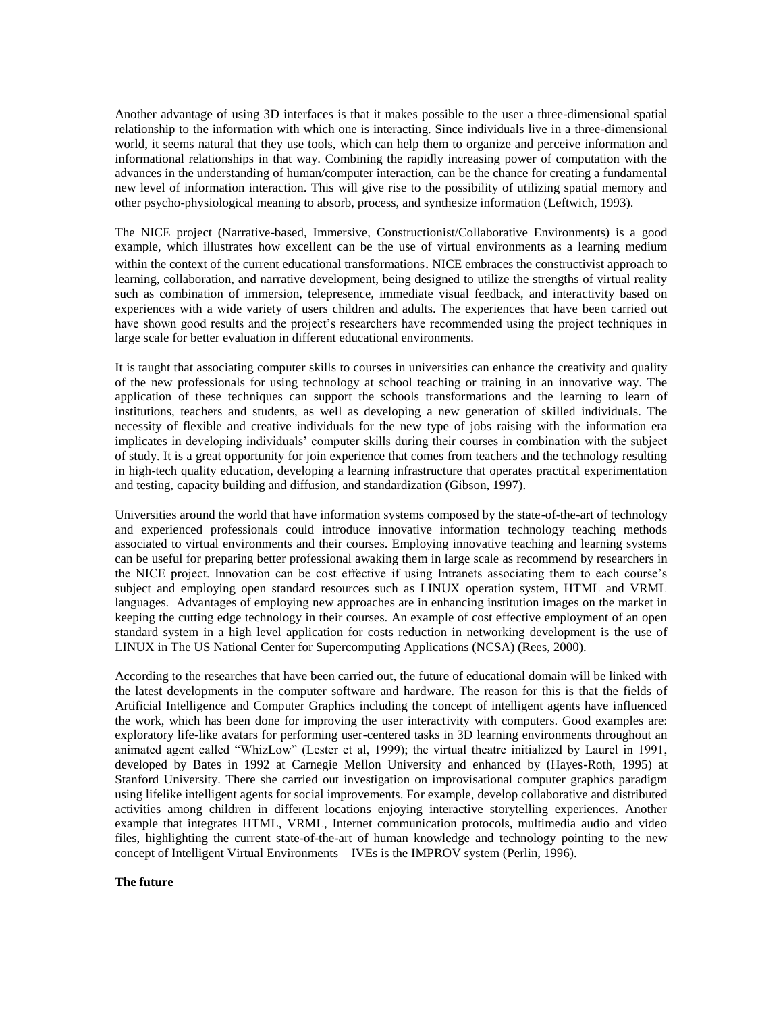Another advantage of using 3D interfaces is that it makes possible to the user a three-dimensional spatial relationship to the information with which one is interacting. Since individuals live in a three-dimensional world, it seems natural that they use tools, which can help them to organize and perceive information and informational relationships in that way. Combining the rapidly increasing power of computation with the advances in the understanding of human/computer interaction, can be the chance for creating a fundamental new level of information interaction. This will give rise to the possibility of utilizing spatial memory and other psycho-physiological meaning to absorb, process, and synthesize information (Leftwich, 1993).

The NICE project (Narrative-based, Immersive, Constructionist/Collaborative Environments) is a good example, which illustrates how excellent can be the use of virtual environments as a learning medium within the context of the current educational transformations. NICE embraces the constructivist approach to learning, collaboration, and narrative development, being designed to utilize the strengths of virtual reality such as combination of immersion, telepresence, immediate visual feedback, and interactivity based on experiences with a wide variety of users children and adults. The experiences that have been carried out have shown good results and the project's researchers have recommended using the project techniques in large scale for better evaluation in different educational environments.

It is taught that associating computer skills to courses in universities can enhance the creativity and quality of the new professionals for using technology at school teaching or training in an innovative way. The application of these techniques can support the schools transformations and the learning to learn of institutions, teachers and students, as well as developing a new generation of skilled individuals. The necessity of flexible and creative individuals for the new type of jobs raising with the information era implicates in developing individuals' computer skills during their courses in combination with the subject of study. It is a great opportunity for join experience that comes from teachers and the technology resulting in high-tech quality education, developing a learning infrastructure that operates practical experimentation and testing, capacity building and diffusion, and standardization (Gibson, 1997).

Universities around the world that have information systems composed by the state-of-the-art of technology and experienced professionals could introduce innovative information technology teaching methods associated to virtual environments and their courses. Employing innovative teaching and learning systems can be useful for preparing better professional awaking them in large scale as recommend by researchers in the NICE project. Innovation can be cost effective if using Intranets associating them to each course's subject and employing open standard resources such as LINUX operation system, HTML and VRML languages. Advantages of employing new approaches are in enhancing institution images on the market in keeping the cutting edge technology in their courses. An example of cost effective employment of an open standard system in a high level application for costs reduction in networking development is the use of LINUX in The US National Center for Supercomputing Applications (NCSA) (Rees, 2000).

According to the researches that have been carried out, the future of educational domain will be linked with the latest developments in the computer software and hardware. The reason for this is that the fields of Artificial Intelligence and Computer Graphics including the concept of intelligent agents have influenced the work, which has been done for improving the user interactivity with computers. Good examples are: exploratory life-like avatars for performing user-centered tasks in 3D learning environments throughout an animated agent called "WhizLow" (Lester et al, 1999); the virtual theatre initialized by Laurel in 1991, developed by Bates in 1992 at Carnegie Mellon University and enhanced by (Hayes-Roth, 1995) at Stanford University. There she carried out investigation on improvisational computer graphics paradigm using lifelike intelligent agents for social improvements. For example, develop collaborative and distributed activities among children in different locations enjoying interactive storytelling experiences. Another example that integrates HTML, VRML, Internet communication protocols, multimedia audio and video files, highlighting the current state-of-the-art of human knowledge and technology pointing to the new concept of Intelligent Virtual Environments – IVEs is the IMPROV system (Perlin, 1996).

#### **The future**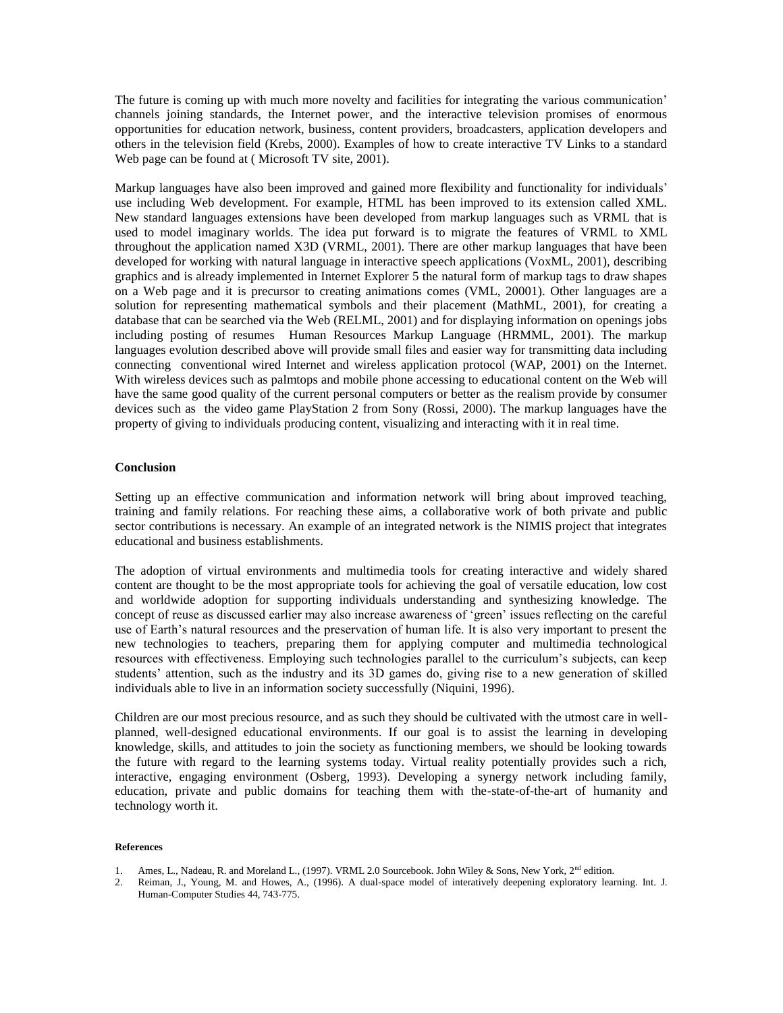The future is coming up with much more novelty and facilities for integrating the various communication' channels joining standards, the Internet power, and the interactive television promises of enormous opportunities for education network, business, content providers, broadcasters, application developers and others in the television field (Krebs, 2000). Examples of how to create interactive TV Links to a standard Web page can be found at ( Microsoft TV site, 2001).

Markup languages have also been improved and gained more flexibility and functionality for individuals' use including Web development. For example, HTML has been improved to its extension called XML. New standard languages extensions have been developed from markup languages such as VRML that is used to model imaginary worlds. The idea put forward is to migrate the features of VRML to XML throughout the application named X3D (VRML, 2001). There are other markup languages that have been developed for working with natural language in interactive speech applications (VoxML, 2001), describing graphics and is already implemented in Internet Explorer 5 the natural form of markup tags to draw shapes on a Web page and it is precursor to creating animations comes (VML, 20001). Other languages are a solution for representing mathematical symbols and their placement (MathML, 2001), for creating a database that can be searched via the Web (RELML, 2001) and for displaying information on openings jobs including posting of resumes Human Resources Markup Language (HRMML, 2001). The markup languages evolution described above will provide small files and easier way for transmitting data including connecting conventional wired Internet and wireless application protocol (WAP, 2001) on the Internet. With wireless devices such as palmtops and mobile phone accessing to educational content on the Web will have the same good quality of the current personal computers or better as the realism provide by consumer devices such as the video game PlayStation 2 from Sony (Rossi, 2000). The markup languages have the property of giving to individuals producing content, visualizing and interacting with it in real time.

## **Conclusion**

Setting up an effective communication and information network will bring about improved teaching, training and family relations. For reaching these aims, a collaborative work of both private and public sector contributions is necessary. An example of an integrated network is the NIMIS project that integrates educational and business establishments.

The adoption of virtual environments and multimedia tools for creating interactive and widely shared content are thought to be the most appropriate tools for achieving the goal of versatile education, low cost and worldwide adoption for supporting individuals understanding and synthesizing knowledge. The concept of reuse as discussed earlier may also increase awareness of 'green' issues reflecting on the careful use of Earth's natural resources and the preservation of human life. It is also very important to present the new technologies to teachers, preparing them for applying computer and multimedia technological resources with effectiveness. Employing such technologies parallel to the curriculum's subjects, can keep students' attention, such as the industry and its 3D games do, giving rise to a new generation of skilled individuals able to live in an information society successfully (Niquini, 1996).

Children are our most precious resource, and as such they should be cultivated with the utmost care in wellplanned, well-designed educational environments. If our goal is to assist the learning in developing knowledge, skills, and attitudes to join the society as functioning members, we should be looking towards the future with regard to the learning systems today. Virtual reality potentially provides such a rich, interactive, engaging environment (Osberg, 1993). Developing a synergy network including family, education, private and public domains for teaching them with the-state-of-the-art of humanity and technology worth it.

#### **References**

- 
- 1. Ames, L., Nadeau, R. and Moreland L., (1997). VRML 2.0 Sourcebook. John Wiley & Sons, New York, 2<sup>nd</sup> edition.<br>2. Reiman, J., Young, M. and Howes, A., (1996). A dual-space model of interatively deenening exploratory lea 2. Reiman, J., Young, M. and Howes, A., (1996). A dual-space model of interatively deepening exploratory learning. Int. J. Human-Computer Studies 44, 743-775.